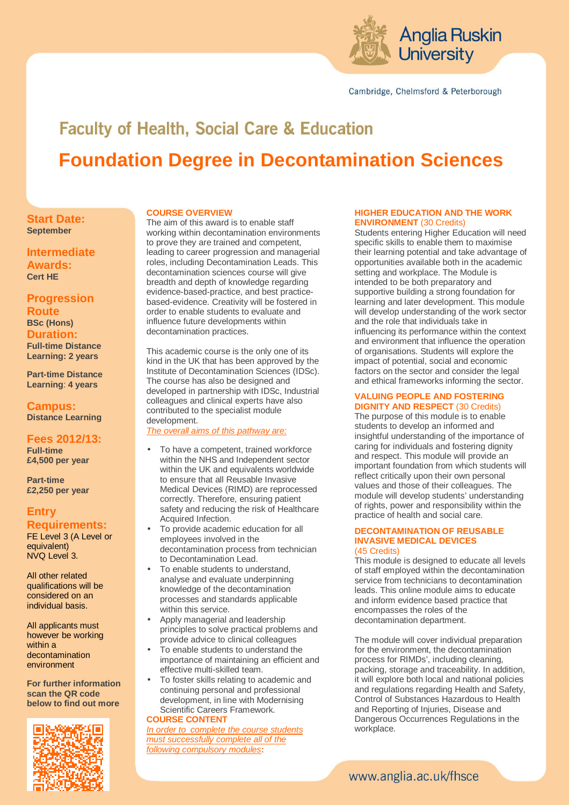

Cambridge, Chelmsford & Peterborough

# **Faculty of Health, Social Care & Education Foundation Degree in Decontamination Sciences**

# **COURSE OVERVIEW**

**Start Date: September** 

**Intermediate Awards: Cert HE** 

# **Progression**

**Route BSc (Hons) Duration: Full-time Distance Learning: 2 years** 

**Part-time Distance Learning**: **4 years**

**Campus: Distance Learning** 

### **Fees 2012/13: Full-time £4,500 per year**

**Part-time £2,250 per year** 

# **Entry Requirements:**

FE Level 3 (A Level or equivalent) NVQ Level 3.

All other related qualifications will be considered on an individual basis.

All applicants must however be working within a decontamination environment

**For further information scan the QR code below to find out more** 



The aim of this award is to enable staff working within decontamination environments to prove they are trained and competent, leading to career progression and managerial roles, including Decontamination Leads. This decontamination sciences course will give breadth and depth of knowledge regarding evidence-based-practice, and best practicebased-evidence. Creativity will be fostered in order to enable students to evaluate and influence future developments within decontamination practices.

This academic course is the only one of its kind in the UK that has been approved by the Institute of Decontamination Sciences (IDSc). The course has also be designed and developed in partnership with IDSc, Industrial colleagues and clinical experts have also contributed to the specialist module development.

The overall aims of this pathway are:

- To have a competent, trained workforce within the NHS and Independent sector within the UK and equivalents worldwide to ensure that all Reusable Invasive Medical Devices (RIMD) are reprocessed correctly. Therefore, ensuring patient safety and reducing the risk of Healthcare Acquired Infection.
- To provide academic education for all employees involved in the decontamination process from technician to Decontamination Lead.
- To enable students to understand, analyse and evaluate underpinning knowledge of the decontamination processes and standards applicable within this service.
- Apply managerial and leadership principles to solve practical problems and provide advice to clinical colleagues
- To enable students to understand the importance of maintaining an efficient and effective multi-skilled team.
- To foster skills relating to academic and continuing personal and professional development, in line with Modernising Scientific Careers Framework. **COURSE CONTENT**

In order to complete the course students must successfully complete all of the following compulsory modules**:** 

## **HIGHER EDUCATION AND THE WORK ENVIRONMENT** (30 Credits)

Students entering Higher Education will need specific skills to enable them to maximise their learning potential and take advantage of opportunities available both in the academic setting and workplace. The Module is intended to be both preparatory and supportive building a strong foundation for learning and later development. This module will develop understanding of the work sector and the role that individuals take in influencing its performance within the context and environment that influence the operation of organisations. Students will explore the impact of potential, social and economic factors on the sector and consider the legal and ethical frameworks informing the sector.

#### **VALUING PEOPLE AND FOSTERING DIGNITY AND RESPECT** (30 Credits)

The purpose of this module is to enable students to develop an informed and insightful understanding of the importance of caring for individuals and fostering dignity and respect. This module will provide an important foundation from which students will reflect critically upon their own personal values and those of their colleagues. The module will develop students' understanding of rights, power and responsibility within the practice of health and social care.

#### **DECONTAMINATION OF REUSABLE INVASIVE MEDICAL DEVICES**  (45 Credits)

This module is designed to educate all levels of staff employed within the decontamination service from technicians to decontamination leads. This online module aims to educate and inform evidence based practice that encompasses the roles of the decontamination department.

The module will cover individual preparation for the environment, the decontamination process for RIMDs', including cleaning, packing, storage and traceability. In addition, it will explore both local and national policies and regulations regarding Health and Safety, Control of Substances Hazardous to Health and Reporting of Injuries, Disease and Dangerous Occurrences Regulations in the workplace.